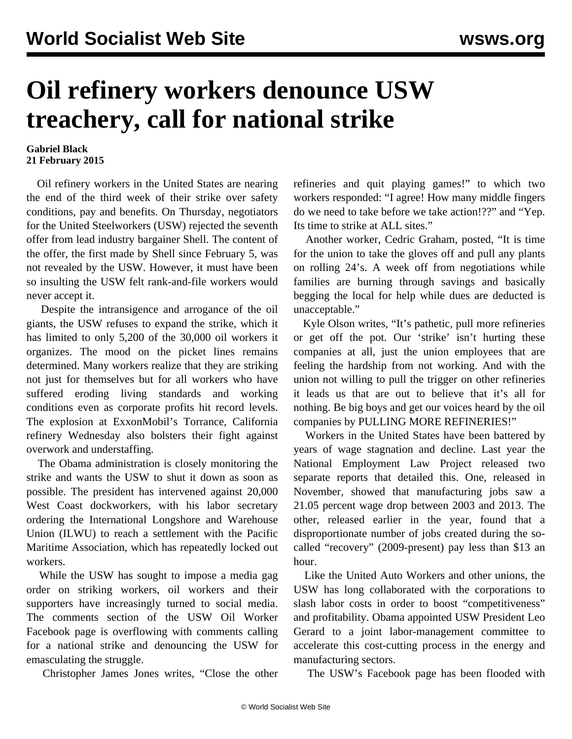## **Oil refinery workers denounce USW treachery, call for national strike**

## **Gabriel Black 21 February 2015**

 Oil refinery workers in the United States are nearing the end of the third week of their strike over safety conditions, pay and benefits. On Thursday, negotiators for the United Steelworkers (USW) rejected the seventh offer from lead industry bargainer Shell. The content of the offer, the first made by Shell since February 5, was not revealed by the USW. However, it must have been so insulting the USW felt rank-and-file workers would never accept it.

 Despite the intransigence and arrogance of the oil giants, the USW refuses to expand the strike, which it has limited to only 5,200 of the 30,000 oil workers it organizes. The mood on the picket lines remains determined. Many workers realize that they are striking not just for themselves but for all workers who have suffered eroding living standards and working conditions even as corporate profits hit record levels. The explosion at ExxonMobil's Torrance, California refinery Wednesday also bolsters their fight against overwork and understaffing.

 The Obama administration is closely monitoring the strike and wants the USW to shut it down as soon as possible. The president has intervened against 20,000 West Coast dockworkers, with his labor secretary ordering the International Longshore and Warehouse Union (ILWU) to reach a settlement with the Pacific Maritime Association, which has repeatedly locked out workers.

 While the USW has sought to impose a media gag order on striking workers, oil workers and their supporters have increasingly turned to social media. The comments section of the USW Oil Worker Facebook page is overflowing with comments calling for a national strike and denouncing the USW for emasculating the struggle.

Christopher James Jones writes, "Close the other

refineries and quit playing games!" to which two workers responded: "I agree! How many middle fingers do we need to take before we take action!??" and "Yep. Its time to strike at ALL sites."

 Another worker, Cedric Graham, posted, "It is time for the union to take the gloves off and pull any plants on rolling 24's. A week off from negotiations while families are burning through savings and basically begging the local for help while dues are deducted is unacceptable."

 Kyle Olson writes, "It's pathetic, pull more refineries or get off the pot. Our 'strike' isn't hurting these companies at all, just the union employees that are feeling the hardship from not working. And with the union not willing to pull the trigger on other refineries it leads us that are out to believe that it's all for nothing. Be big boys and get our voices heard by the oil companies by PULLING MORE REFINERIES!"

 Workers in the United States have been battered by years of wage stagnation and decline. Last year the National Employment Law Project released two separate reports that detailed this. One, released in November, showed that manufacturing jobs saw a 21.05 percent wage drop between 2003 and 2013. The other, released earlier in the year, found that a disproportionate number of jobs created during the socalled "recovery" (2009-present) pay less than \$13 an hour.

 Like the United Auto Workers and other unions, the USW has long collaborated with the corporations to slash labor costs in order to boost "competitiveness" and profitability. Obama appointed USW President Leo Gerard to a joint labor-management committee to accelerate this cost-cutting process in the energy and manufacturing sectors.

The USW's Facebook page has been flooded with